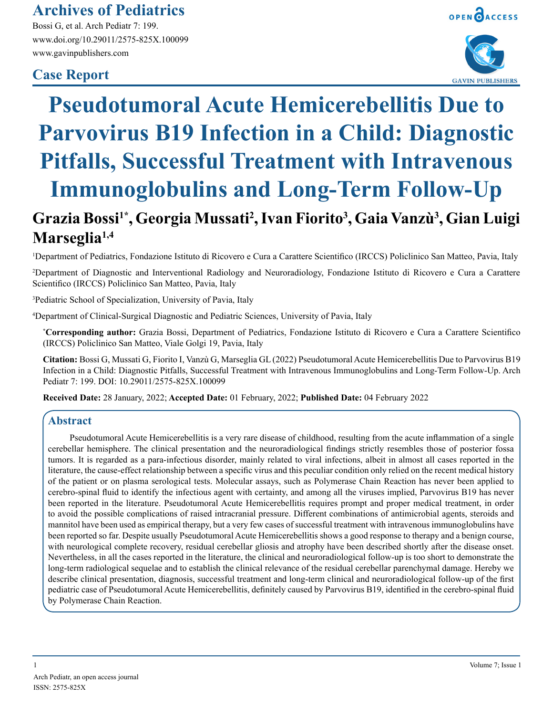## **Archives of Pediatrics**

Bossi G, et al. Arch Pediatr 7: 199. www.doi.org/10.29011/2575-825X.100099 www.gavinpublishers.com

## **Case Report**

**Marseglia1,4**



# **Pseudotumoral Acute Hemicerebellitis Due to Parvovirus B19 Infection in a Child: Diagnostic Pitfalls, Successful Treatment with Intravenous Immunoglobulins and Long-Term Follow-Up**  $G$ razia Bossi<sup>1\*</sup>, Georgia Mussati<sup>2</sup>, Ivan Fiorito<sup>3</sup>, Gaia Vanzù<sup>3</sup>, Gian Luigi

### 1 Department of Pediatrics, Fondazione Istituto di Ricovero e Cura a Carattere Scientifico (IRCCS) Policlinico San Matteo, Pavia, Italy

2 Department of Diagnostic and Interventional Radiology and Neuroradiology, Fondazione Istituto di Ricovero e Cura a Carattere Scientifico (IRCCS) Policlinico San Matteo, Pavia, Italy

3 Pediatric School of Specialization, University of Pavia, Italy

4 Department of Clinical-Surgical Diagnostic and Pediatric Sciences, University of Pavia, Italy

**\* Corresponding author:** Grazia Bossi, Department of Pediatrics, Fondazione Istituto di Ricovero e Cura a Carattere Scientifico (IRCCS) Policlinico San Matteo, Viale Golgi 19, Pavia, Italy

**Citation:** Bossi G, Mussati G, Fiorito I, Vanzù G, Marseglia GL (2022) Pseudotumoral Acute Hemicerebellitis Due to Parvovirus B19 Infection in a Child: Diagnostic Pitfalls, Successful Treatment with Intravenous Immunoglobulins and Long-Term Follow-Up. Arch Pediatr 7: 199. DOI: 10.29011/2575-825X.100099

**Received Date:** 28 January, 2022; **Accepted Date:** 01 February, 2022; **Published Date:** 04 February 2022

#### **Abstract**

Pseudotumoral Acute Hemicerebellitis is a very rare disease of childhood, resulting from the acute inflammation of a single cerebellar hemisphere. The clinical presentation and the neuroradiological findings strictly resembles those of posterior fossa tumors. It is regarded as a para-infectious disorder, mainly related to viral infections, albeit in almost all cases reported in the literature, the cause-effect relationship between a specific virus and this peculiar condition only relied on the recent medical history of the patient or on plasma serological tests. Molecular assays, such as Polymerase Chain Reaction has never been applied to cerebro-spinal fluid to identify the infectious agent with certainty, and among all the viruses implied, Parvovirus B19 has never been reported in the literature. Pseudotumoral Acute Hemicerebellitis requires prompt and proper medical treatment, in order to avoid the possible complications of raised intracranial pressure. Different combinations of antimicrobial agents, steroids and mannitol have been used as empirical therapy, but a very few cases of successful treatment with intravenous immunoglobulins have been reported so far. Despite usually Pseudotumoral Acute Hemicerebellitis shows a good response to therapy and a benign course, with neurological complete recovery, residual cerebellar gliosis and atrophy have been described shortly after the disease onset. Nevertheless, in all the cases reported in the literature, the clinical and neuroradiological follow-up is too short to demonstrate the long-term radiological sequelae and to establish the clinical relevance of the residual cerebellar parenchymal damage. Hereby we describe clinical presentation, diagnosis, successful treatment and long-term clinical and neuroradiological follow-up of the first pediatric case of Pseudotumoral Acute Hemicerebellitis, definitely caused by Parvovirus B19, identified in the cerebro-spinal fluid by Polymerase Chain Reaction.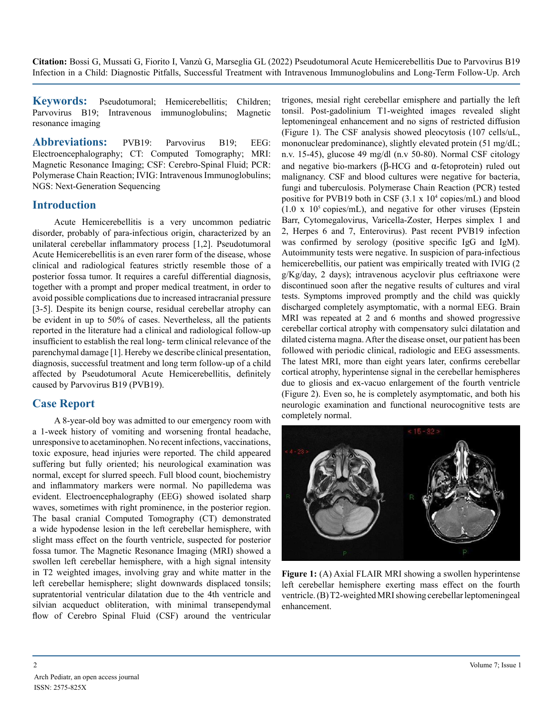**Citation:** Bossi G, Mussati G, Fiorito I, Vanzù G, Marseglia GL (2022) Pseudotumoral Acute Hemicerebellitis Due to Parvovirus B19 Infection in a Child: Diagnostic Pitfalls, Successful Treatment with Intravenous Immunoglobulins and Long-Term Follow-Up. Arch

**Keywords:** Pseudotumoral; Hemicerebellitis; Children; Parvovirus B19; Intravenous immunoglobulins; Magnetic resonance imaging

**Abbreviations:** PVB19: Parvovirus B19; EEG: Electroencephalography; CT: Computed Tomography; MRI: Magnetic Resonance Imaging; CSF: Cerebro-Spinal Fluid; PCR: Polymerase Chain Reaction; IVIG: Intravenous Immunoglobulins; NGS: Next-Generation Sequencing

#### **Introduction**

Acute Hemicerebellitis is a very uncommon pediatric disorder, probably of para-infectious origin, characterized by an unilateral cerebellar inflammatory process [1,2]. Pseudotumoral Acute Hemicerebellitis is an even rarer form of the disease, whose clinical and radiological features strictly resemble those of a posterior fossa tumor. It requires a careful differential diagnosis, together with a prompt and proper medical treatment, in order to avoid possible complications due to increased intracranial pressure [3-5]. Despite its benign course, residual cerebellar atrophy can be evident in up to 50% of cases. Nevertheless, all the patients reported in the literature had a clinical and radiological follow-up insufficient to establish the real long- term clinical relevance of the parenchymal damage [1]. Hereby we describe clinical presentation, diagnosis, successful treatment and long term follow-up of a child affected by Pseudotumoral Acute Hemicerebellitis, definitely caused by Parvovirus B19 (PVB19).

#### **Case Report**

A 8-year-old boy was admitted to our emergency room with a 1-week history of vomiting and worsening frontal headache, unresponsive to acetaminophen. No recent infections, vaccinations, toxic exposure, head injuries were reported. The child appeared suffering but fully oriented; his neurological examination was normal, except for slurred speech. Full blood count, biochemistry and inflammatory markers were normal. No papilledema was evident. Electroencephalography (EEG) showed isolated sharp waves, sometimes with right prominence, in the posterior region. The basal cranial Computed Tomography (CT) demonstrated a wide hypodense lesion in the left cerebellar hemisphere, with slight mass effect on the fourth ventricle, suspected for posterior fossa tumor. The Magnetic Resonance Imaging (MRI) showed a swollen left cerebellar hemisphere, with a high signal intensity in T2 weighted images, involving gray and white matter in the left cerebellar hemisphere; slight downwards displaced tonsils; supratentorial ventricular dilatation due to the 4th ventricle and silvian acqueduct obliteration, with minimal transependymal flow of Cerebro Spinal Fluid (CSF) around the ventricular

trigones, mesial right cerebellar emisphere and partially the left tonsil. Post-gadolinium T1-weighted images revealed slight leptomeningeal enhancement and no signs of restricted diffusion (Figure 1). The CSF analysis showed pleocytosis (107 cells/uL, mononuclear predominance), slightly elevated protein (51 mg/dL; n.v. 15-45), glucose 49 mg/dl (n.v 50-80). Normal CSF citology and negative bio-markers ( $\beta$ -HCG and  $\alpha$ -fetoprotein) ruled out malignancy. CSF and blood cultures were negative for bacteria, fungi and tuberculosis. Polymerase Chain Reaction (PCR) tested positive for PVB19 both in CSF (3.1 x 10<sup>4</sup> copies/mL) and blood  $(1.0 \times 10^5 \text{ copies/mL})$ , and negative for other viruses (Epstein Barr, Cytomegalovirus, Varicella-Zoster, Herpes simplex 1 and 2, Herpes 6 and 7, Enterovirus). Past recent PVB19 infection was confirmed by serology (positive specific IgG and IgM). Autoimmunity tests were negative. In suspicion of para-infectious hemicerebellitis, our patient was empirically treated with IVIG (2 g/Kg/day, 2 days); intravenous acyclovir plus ceftriaxone were discontinued soon after the negative results of cultures and viral tests. Symptoms improved promptly and the child was quickly discharged completely asymptomatic, with a normal EEG. Brain MRI was repeated at 2 and 6 months and showed progressive cerebellar cortical atrophy with compensatory sulci dilatation and dilated cisterna magna. After the disease onset, our patient has been followed with periodic clinical, radiologic and EEG assessments. The latest MRI, more than eight years later, confirms cerebellar cortical atrophy, hyperintense signal in the cerebellar hemispheres due to gliosis and ex-vacuo enlargement of the fourth ventricle (Figure 2). Even so, he is completely asymptomatic, and both his neurologic examination and functional neurocognitive tests are completely normal.



**Figure 1:** (A) Axial FLAIR MRI showing a swollen hyperintense left cerebellar hemisphere exerting mass effect on the fourth ventricle. (B) T2-weighted MRI showing cerebellar leptomeningeal enhancement.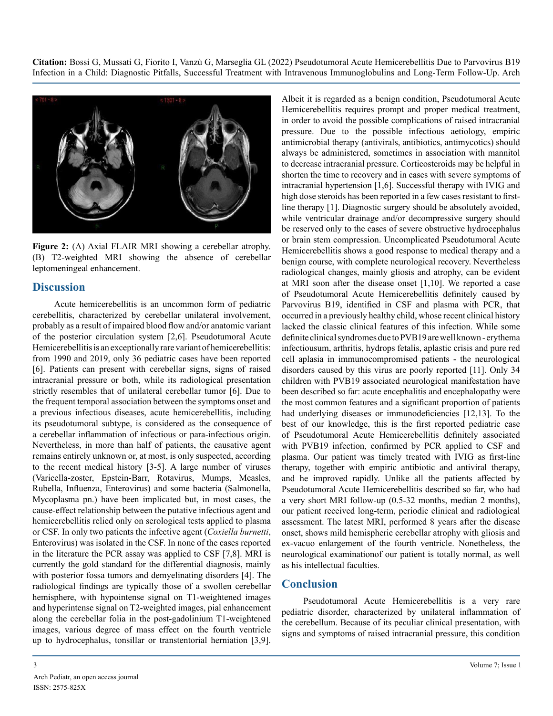**Citation:** Bossi G, Mussati G, Fiorito I, Vanzù G, Marseglia GL (2022) Pseudotumoral Acute Hemicerebellitis Due to Parvovirus B19 Infection in a Child: Diagnostic Pitfalls, Successful Treatment with Intravenous Immunoglobulins and Long-Term Follow-Up. Arch



**Figure 2:** (A) Axial FLAIR MRI showing a cerebellar atrophy. (B) T2-weighted MRI showing the absence of cerebellar leptomeningeal enhancement.

#### **Discussion**

Acute hemicerebellitis is an uncommon form of pediatric cerebellitis, characterized by cerebellar unilateral involvement, probably as a result of impaired blood flow and/or anatomic variant of the posterior circulation system [2,6]. Pseudotumoral Acute Hemicerebellitis is an exceptionally rare variant of hemicerebellitis: from 1990 and 2019, only 36 pediatric cases have been reported [6]. Patients can present with cerebellar signs, signs of raised intracranial pressure or both, while its radiological presentation strictly resembles that of unilateral cerebellar tumor [6]. Due to the frequent temporal association between the symptoms onset and a previous infectious diseases, acute hemicerebellitis, including its pseudotumoral subtype, is considered as the consequence of a cerebellar inflammation of infectious or para-infectious origin. Nevertheless, in more than half of patients, the causative agent remains entirely unknown or, at most, is only suspected, according to the recent medical history [3-5]. A large number of viruses (Varicella-zoster, Epstein-Barr, Rotavirus, Mumps, Measles, Rubella, Influenza, Enterovirus) and some bacteria (Salmonella, Mycoplasma pn.) have been implicated but, in most cases, the cause-effect relationship between the putative infectious agent and hemicerebellitis relied only on serological tests applied to plasma or CSF. In only two patients the infective agent (*Coxiella burnetti*, Enterovirus) was isolated in the CSF. In none of the cases reported in the literature the PCR assay was applied to CSF [7,8]. MRI is currently the gold standard for the differential diagnosis, mainly with posterior fossa tumors and demyelinating disorders [4]. The radiological findings are typically those of a swollen cerebellar hemisphere, with hypointense signal on T1-weightened images and hyperintense signal on T2-weighted images, pial enhancement along the cerebellar folia in the post-gadolinium T1-weightened images, various degree of mass effect on the fourth ventricle up to hydrocephalus, tonsillar or transtentorial herniation [3,9].

Albeit it is regarded as a benign condition, Pseudotumoral Acute Hemicerebellitis requires prompt and proper medical treatment, in order to avoid the possible complications of raised intracranial pressure. Due to the possible infectious aetiology, empiric antimicrobial therapy (antivirals, antibiotics, antimycotics) should always be administered, sometimes in association with mannitol to decrease intracranial pressure. Corticosteroids may be helpful in shorten the time to recovery and in cases with severe symptoms of intracranial hypertension [1,6]. Successful therapy with IVIG and high dose steroids has been reported in a few cases resistant to firstline therapy [1]. Diagnostic surgery should be absolutely avoided, while ventricular drainage and/or decompressive surgery should be reserved only to the cases of severe obstructive hydrocephalus or brain stem compression. Uncomplicated Pseudotumoral Acute Hemicerebellitis shows a good response to medical therapy and a benign course, with complete neurological recovery. Nevertheless radiological changes, mainly gliosis and atrophy, can be evident at MRI soon after the disease onset [1,10]. We reported a case of Pseudotumoral Acute Hemicerebellitis definitely caused by Parvovirus B19, identified in CSF and plasma with PCR, that occurred in a previously healthy child, whose recent clinical history lacked the classic clinical features of this infection. While some definite clinical syndromes due to PVB19 are well known - erythema infectiousum, arthritis, hydrops fetalis, aplastic crisis and pure red cell aplasia in immunocompromised patients - the neurological disorders caused by this virus are poorly reported [11]. Only 34 children with PVB19 associated neurological manifestation have been described so far: acute encephalitis and encephalopathy were the most common features and a significant proportion of patients had underlying diseases or immunodeficiencies [12,13]. To the best of our knowledge, this is the first reported pediatric case of Pseudotumoral Acute Hemicerebellitis definitely associated with PVB19 infection, confirmed by PCR applied to CSF and plasma. Our patient was timely treated with IVIG as first-line therapy, together with empiric antibiotic and antiviral therapy, and he improved rapidly. Unlike all the patients affected by Pseudotumoral Acute Hemicerebellitis described so far, who had a very short MRI follow-up (0.5-32 months, median 2 months), our patient received long-term, periodic clinical and radiological assessment. The latest MRI, performed 8 years after the disease onset, shows mild hemispheric cerebellar atrophy with gliosis and ex-vacuo enlargement of the fourth ventricle. Nonetheless, the neurological examinationof our patient is totally normal, as well as his intellectual faculties.

#### **Conclusion**

Pseudotumoral Acute Hemicerebellitis is a very rare pediatric disorder, characterized by unilateral inflammation of the cerebellum. Because of its peculiar clinical presentation, with signs and symptoms of raised intracranial pressure, this condition